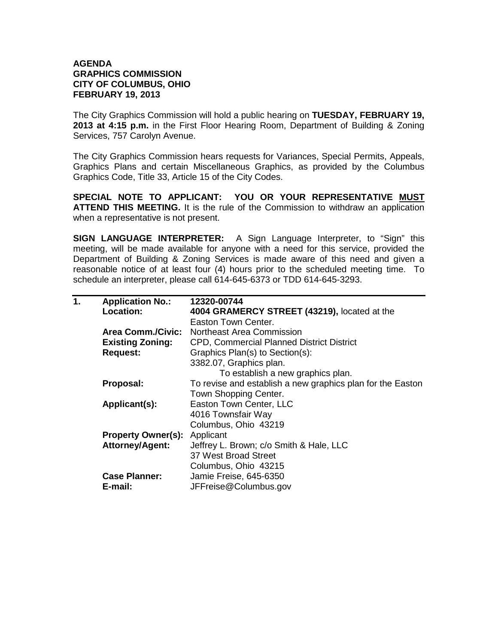## **AGENDA GRAPHICS COMMISSION CITY OF COLUMBUS, OHIO FEBRUARY 19, 2013**

The City Graphics Commission will hold a public hearing on **TUESDAY, FEBRUARY 19, 2013 at 4:15 p.m.** in the First Floor Hearing Room, Department of Building & Zoning Services, 757 Carolyn Avenue.

The City Graphics Commission hears requests for Variances, Special Permits, Appeals, Graphics Plans and certain Miscellaneous Graphics, as provided by the Columbus Graphics Code, Title 33, Article 15 of the City Codes.

**SPECIAL NOTE TO APPLICANT: YOU OR YOUR REPRESENTATIVE MUST ATTEND THIS MEETING.** It is the rule of the Commission to withdraw an application when a representative is not present.

**SIGN LANGUAGE INTERPRETER:** A Sign Language Interpreter, to "Sign" this meeting, will be made available for anyone with a need for this service, provided the Department of Building & Zoning Services is made aware of this need and given a reasonable notice of at least four (4) hours prior to the scheduled meeting time. To schedule an interpreter, please call 614-645-6373 or TDD 614-645-3293.

| 1. | <b>Application No.:</b>   | 12320-00744                                                |
|----|---------------------------|------------------------------------------------------------|
|    | Location:                 | 4004 GRAMERCY STREET (43219), located at the               |
|    |                           | Easton Town Center.                                        |
|    | <b>Area Comm./Civic:</b>  | Northeast Area Commission                                  |
|    | <b>Existing Zoning:</b>   | <b>CPD, Commercial Planned District District</b>           |
|    | <b>Request:</b>           | Graphics Plan(s) to Section(s):                            |
|    |                           | 3382.07, Graphics plan.                                    |
|    |                           | To establish a new graphics plan.                          |
|    | Proposal:                 | To revise and establish a new graphics plan for the Easton |
|    |                           | Town Shopping Center.                                      |
|    | Applicant(s):             | Easton Town Center, LLC                                    |
|    |                           | 4016 Townsfair Way                                         |
|    |                           | Columbus, Ohio 43219                                       |
|    | <b>Property Owner(s):</b> | Applicant                                                  |
|    | <b>Attorney/Agent:</b>    | Jeffrey L. Brown; c/o Smith & Hale, LLC                    |
|    |                           | 37 West Broad Street                                       |
|    |                           | Columbus, Ohio 43215                                       |
|    | <b>Case Planner:</b>      | Jamie Freise, 645-6350                                     |
|    | E-mail:                   | JFFreise@Columbus.gov                                      |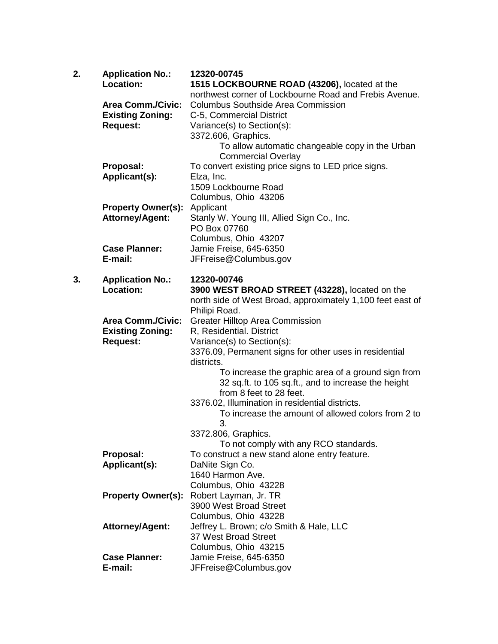| 2. | <b>Application No.:</b><br>Location: | 12320-00745                                                                                            |
|----|--------------------------------------|--------------------------------------------------------------------------------------------------------|
|    |                                      | 1515 LOCKBOURNE ROAD (43206), located at the<br>northwest corner of Lockbourne Road and Frebis Avenue. |
|    | <b>Area Comm./Civic:</b>             | <b>Columbus Southside Area Commission</b>                                                              |
|    | <b>Existing Zoning:</b>              | C-5, Commercial District                                                                               |
|    | <b>Request:</b>                      | Variance(s) to Section(s):                                                                             |
|    |                                      | 3372.606, Graphics.                                                                                    |
|    |                                      | To allow automatic changeable copy in the Urban                                                        |
|    |                                      | <b>Commercial Overlay</b>                                                                              |
|    | Proposal:                            | To convert existing price signs to LED price signs.                                                    |
|    | Applicant(s):                        | Elza, Inc.                                                                                             |
|    |                                      | 1509 Lockbourne Road                                                                                   |
|    |                                      | Columbus, Ohio 43206                                                                                   |
|    | <b>Property Owner(s):</b>            | Applicant                                                                                              |
|    | <b>Attorney/Agent:</b>               | Stanly W. Young III, Allied Sign Co., Inc.                                                             |
|    |                                      | PO Box 07760                                                                                           |
|    |                                      | Columbus, Ohio 43207                                                                                   |
|    | <b>Case Planner:</b>                 | Jamie Freise, 645-6350                                                                                 |
|    | E-mail:                              | JFFreise@Columbus.gov                                                                                  |
| 3. |                                      | 12320-00746                                                                                            |
|    | <b>Application No.:</b><br>Location: | 3900 WEST BROAD STREET (43228), located on the                                                         |
|    |                                      | north side of West Broad, approximately 1,100 feet east of                                             |
|    |                                      | Philipi Road.                                                                                          |
|    | <b>Area Comm./Civic:</b>             | <b>Greater Hilltop Area Commission</b>                                                                 |
|    | <b>Existing Zoning:</b>              | R, Residential. District                                                                               |
|    | <b>Request:</b>                      | Variance(s) to Section(s):                                                                             |
|    |                                      | 3376.09, Permanent signs for other uses in residential                                                 |
|    |                                      | districts.                                                                                             |
|    |                                      | To increase the graphic area of a ground sign from                                                     |
|    |                                      | 32 sq.ft. to 105 sq.ft., and to increase the height                                                    |
|    |                                      | from 8 feet to 28 feet.                                                                                |
|    |                                      | 3376.02, Illumination in residential districts.                                                        |
|    |                                      | To increase the amount of allowed colors from 2 to                                                     |
|    |                                      | 3.<br>3372.806, Graphics.                                                                              |
|    |                                      | To not comply with any RCO standards.                                                                  |
|    | Proposal:                            | To construct a new stand alone entry feature.                                                          |
|    | Applicant(s):                        | DaNite Sign Co.                                                                                        |
|    |                                      | 1640 Harmon Ave.                                                                                       |
|    |                                      | Columbus, Ohio 43228                                                                                   |
|    | <b>Property Owner(s):</b>            | Robert Layman, Jr. TR                                                                                  |
|    |                                      | 3900 West Broad Street                                                                                 |
|    |                                      | Columbus, Ohio 43228                                                                                   |
|    | <b>Attorney/Agent:</b>               | Jeffrey L. Brown; c/o Smith & Hale, LLC                                                                |
|    |                                      | 37 West Broad Street                                                                                   |
|    |                                      | Columbus, Ohio 43215                                                                                   |
|    | <b>Case Planner:</b>                 | Jamie Freise, 645-6350                                                                                 |
|    | E-mail:                              | JFFreise@Columbus.gov                                                                                  |
|    |                                      |                                                                                                        |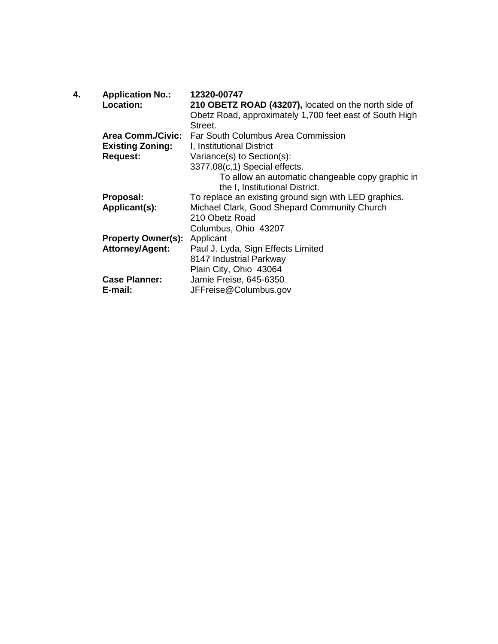| 4. | <b>Application No.:</b><br>Location: | 12320-00747<br>210 OBETZ ROAD (43207), located on the north side of<br>Obetz Road, approximately 1,700 feet east of South High<br>Street. |
|----|--------------------------------------|-------------------------------------------------------------------------------------------------------------------------------------------|
|    | <b>Area Comm./Civic:</b>             | Far South Columbus Area Commission                                                                                                        |
|    | <b>Existing Zoning:</b>              | I, Institutional District                                                                                                                 |
|    | <b>Request:</b>                      | Variance(s) to Section(s):                                                                                                                |
|    |                                      | 3377.08(c,1) Special effects.                                                                                                             |
|    |                                      | To allow an automatic changeable copy graphic in<br>the I, Institutional District.                                                        |
|    | Proposal:                            | To replace an existing ground sign with LED graphics.                                                                                     |
|    | Applicant(s):                        | Michael Clark, Good Shepard Community Church                                                                                              |
|    |                                      | 210 Obetz Road                                                                                                                            |
|    |                                      | Columbus, Ohio 43207                                                                                                                      |
|    | <b>Property Owner(s): Applicant</b>  |                                                                                                                                           |
|    | <b>Attorney/Agent:</b>               | Paul J. Lyda, Sign Effects Limited                                                                                                        |
|    |                                      | 8147 Industrial Parkway                                                                                                                   |
|    |                                      | Plain City, Ohio 43064                                                                                                                    |
|    | <b>Case Planner:</b>                 | Jamie Freise, 645-6350                                                                                                                    |
|    | E-mail:                              | JFFreise@Columbus.gov                                                                                                                     |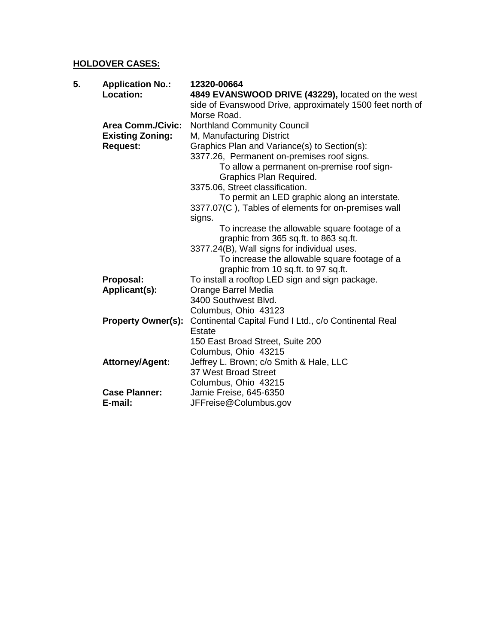## **HOLDOVER CASES:**

| 5. | <b>Application No.:</b>   | 12320-00664                                               |
|----|---------------------------|-----------------------------------------------------------|
|    | <b>Location:</b>          | 4849 EVANSWOOD DRIVE (43229), located on the west         |
|    |                           | side of Evanswood Drive, approximately 1500 feet north of |
|    |                           | Morse Road.                                               |
|    | <b>Area Comm./Civic:</b>  | <b>Northland Community Council</b>                        |
|    | <b>Existing Zoning:</b>   | M, Manufacturing District                                 |
|    | <b>Request:</b>           | Graphics Plan and Variance(s) to Section(s):              |
|    |                           | 3377.26, Permanent on-premises roof signs.                |
|    |                           | To allow a permanent on-premise roof sign-                |
|    |                           | Graphics Plan Required.                                   |
|    |                           | 3375.06, Street classification.                           |
|    |                           | To permit an LED graphic along an interstate.             |
|    |                           | 3377.07(C), Tables of elements for on-premises wall       |
|    |                           | signs.                                                    |
|    |                           | To increase the allowable square footage of a             |
|    |                           | graphic from 365 sq.ft. to 863 sq.ft.                     |
|    |                           | 3377.24(B), Wall signs for individual uses.               |
|    |                           | To increase the allowable square footage of a             |
|    |                           | graphic from 10 sq.ft. to 97 sq.ft.                       |
|    | Proposal:                 | To install a rooftop LED sign and sign package.           |
|    | Applicant(s):             | Orange Barrel Media                                       |
|    |                           | 3400 Southwest Blvd.                                      |
|    |                           | Columbus, Ohio 43123                                      |
|    | <b>Property Owner(s):</b> | Continental Capital Fund I Ltd., c/o Continental Real     |
|    |                           | Estate                                                    |
|    |                           | 150 East Broad Street, Suite 200                          |
|    |                           | Columbus, Ohio 43215                                      |
|    | <b>Attorney/Agent:</b>    | Jeffrey L. Brown; c/o Smith & Hale, LLC                   |
|    |                           | 37 West Broad Street                                      |
|    |                           | Columbus, Ohio 43215                                      |
|    | <b>Case Planner:</b>      | Jamie Freise, 645-6350                                    |
|    | E-mail:                   | JFFreise@Columbus.gov                                     |